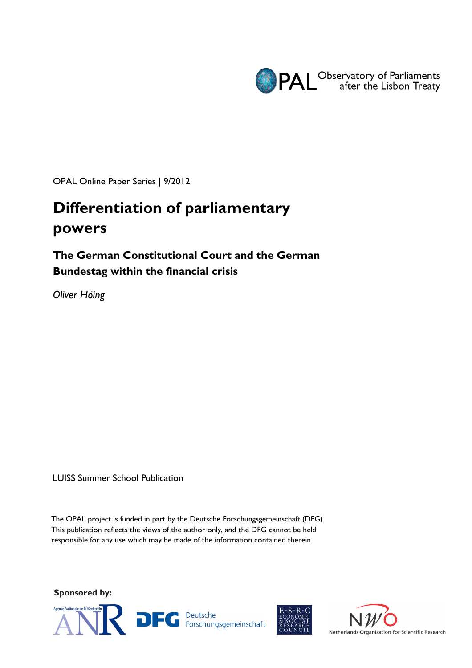

OPAL Online Paper Series | 9/2012

# **Differentiation of parliamentary powers**

# **The German Constitutional Court and the German Bundestag within the financial crisis**

*Oliver Höing* 

LUISS Summer School Publication

The OPAL project is funded in part by the Deutsche Forschungsgemeinschaft (DFG). This publication reflects the views of the author only, and the DFG cannot be held responsible for any use which may be made of the information contained therein.

**Sponsored by:** 





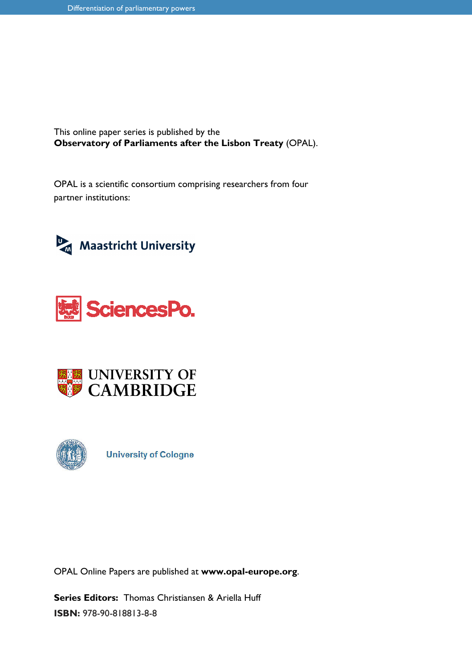This online paper series is published by the **Observatory of Parliaments after the Lisbon Treaty** (OPAL).

OPAL is a scientific consortium comprising researchers from four partner institutions:









**University of Cologne** 

OPAL Online Papers are published at **www.opal-europe.org**.

**Series Editors:** Thomas Christiansen & Ariella Huff **ISBN:** 978-90-818813-8-8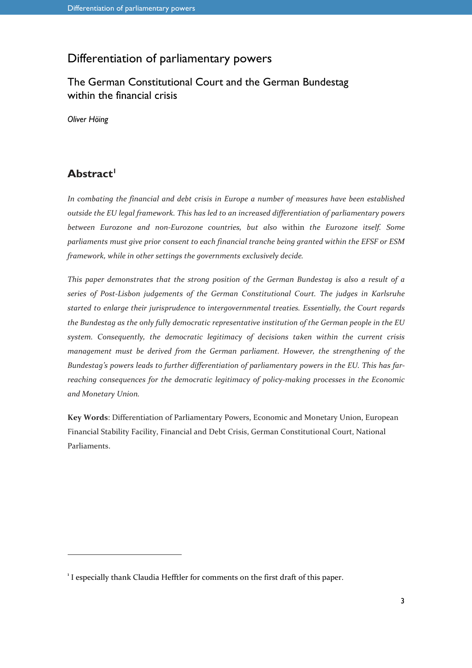# Differentiation of parliamentary powers

# The German Constitutional Court and the German Bundestag within the financial crisis

*Oliver Höing* 

# **Abstract<sup>1</sup>**

j

*In combating the financial and debt crisis in Europe a number of measures have been established outside the EU legal framework. This has led to an increased differentiation of parliamentary powers between Eurozone and non-Eurozone countries, but also* within *the Eurozone itself. Some parliaments must give prior consent to each financial tranche being granted within the EFSF or ESM framework, while in other settings the governments exclusively decide.* 

*This paper demonstrates that the strong position of the German Bundestag is also a result of a series of Post-Lisbon judgements of the German Constitutional Court. The judges in Karlsruhe started to enlarge their jurisprudence to intergovernmental treaties. Essentially, the Court regards the Bundestag as the only fully democratic representative institution of the German people in the EU system. Consequently, the democratic legitimacy of decisions taken within the current crisis management must be derived from the German parliament. However, the strengthening of the Bundestag's powers leads to further differentiation of parliamentary powers in the EU. This has farreaching consequences for the democratic legitimacy of policy-making processes in the Economic and Monetary Union.* 

**Key Words**: Differentiation of Parliamentary Powers, Economic and Monetary Union, European Financial Stability Facility, Financial and Debt Crisis, German Constitutional Court, National Parliaments.

<sup>&</sup>lt;sup>1</sup> I especially thank Claudia Hefftler for comments on the first draft of this paper.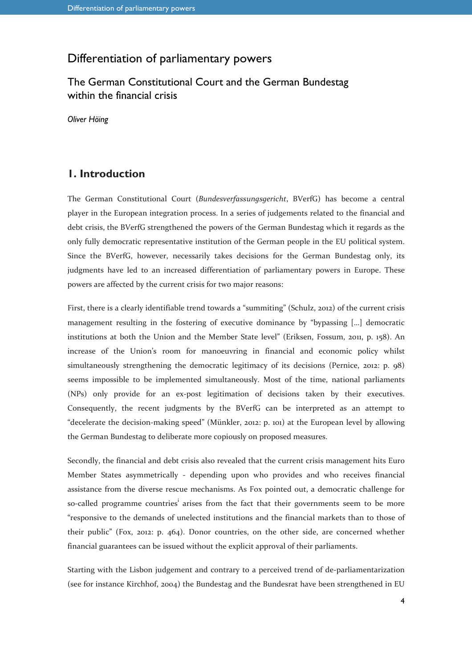# Differentiation of parliamentary powers

## The German Constitutional Court and the German Bundestag within the financial crisis

*Oliver Höing* 

### **1. Introduction**

The German Constitutional Court (*Bundesverfassungsgericht*, BVerfG) has become a central player in the European integration process. In a series of judgements related to the financial and debt crisis, the BVerfG strengthened the powers of the German Bundestag which it regards as the only fully democratic representative institution of the German people in the EU political system. Since the BVerfG, however, necessarily takes decisions for the German Bundestag only, its judgments have led to an increased differentiation of parliamentary powers in Europe. These powers are affected by the current crisis for two major reasons:

First, there is a clearly identifiable trend towards a "summiting" (Schulz, 2012) of the current crisis management resulting in the fostering of executive dominance by "bypassing […] democratic institutions at both the Union and the Member State level" (Eriksen, Fossum, 2011, p. 158). An increase of the Union's room for manoeuvring in financial and economic policy whilst simultaneously strengthening the democratic legitimacy of its decisions (Pernice, 2012: p. 98) seems impossible to be implemented simultaneously. Most of the time, national parliaments (NPs) only provide for an ex-post legitimation of decisions taken by their executives. Consequently, the recent judgments by the BVerfG can be interpreted as an attempt to "decelerate the decision-making speed" (Münkler, 2012: p. 101) at the European level by allowing the German Bundestag to deliberate more copiously on proposed measures.

Secondly, the financial and debt crisis also revealed that the current crisis management hits Euro Member States asymmetrically - depending upon who provides and who receives financial assistance from the diverse rescue mechanisms. As Fox pointed out, a democratic challenge for so-called programme countries<sup>i</sup> arises from the fact that their governments seem to be more "responsive to the demands of unelected institutions and the financial markets than to those of their public" (Fox, 2012: p. 464). Donor countries, on the other side, are concerned whether financial guarantees can be issued without the explicit approval of their parliaments.

Starting with the Lisbon judgement and contrary to a perceived trend of de-parliamentarization (see for instance Kirchhof, 2004) the Bundestag and the Bundesrat have been strengthened in EU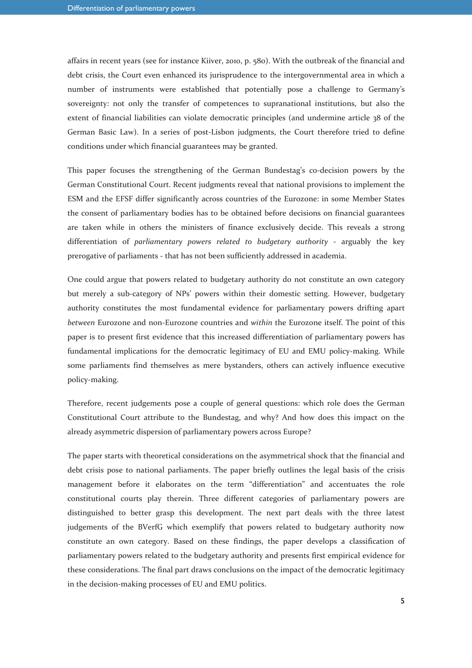affairs in recent years (see for instance Kiiver, 2010, p. 580). With the outbreak of the financial and debt crisis, the Court even enhanced its jurisprudence to the intergovernmental area in which a number of instruments were established that potentially pose a challenge to Germany's sovereignty: not only the transfer of competences to supranational institutions, but also the extent of financial liabilities can violate democratic principles (and undermine article 38 of the German Basic Law). In a series of post-Lisbon judgments, the Court therefore tried to define conditions under which financial guarantees may be granted.

This paper focuses the strengthening of the German Bundestag's co-decision powers by the German Constitutional Court. Recent judgments reveal that national provisions to implement the ESM and the EFSF differ significantly across countries of the Eurozone: in some Member States the consent of parliamentary bodies has to be obtained before decisions on financial guarantees are taken while in others the ministers of finance exclusively decide. This reveals a strong differentiation of *parliamentary powers related to budgetary authority* - arguably the key prerogative of parliaments - that has not been sufficiently addressed in academia.

One could argue that powers related to budgetary authority do not constitute an own category but merely a sub-category of NPs' powers within their domestic setting. However, budgetary authority constitutes the most fundamental evidence for parliamentary powers drifting apart *between* Eurozone and non-Eurozone countries and *within* the Eurozone itself. The point of this paper is to present first evidence that this increased differentiation of parliamentary powers has fundamental implications for the democratic legitimacy of EU and EMU policy-making. While some parliaments find themselves as mere bystanders, others can actively influence executive policy-making.

Therefore, recent judgements pose a couple of general questions: which role does the German Constitutional Court attribute to the Bundestag, and why? And how does this impact on the already asymmetric dispersion of parliamentary powers across Europe?

The paper starts with theoretical considerations on the asymmetrical shock that the financial and debt crisis pose to national parliaments. The paper briefly outlines the legal basis of the crisis management before it elaborates on the term "differentiation" and accentuates the role constitutional courts play therein. Three different categories of parliamentary powers are distinguished to better grasp this development. The next part deals with the three latest judgements of the BVerfG which exemplify that powers related to budgetary authority now constitute an own category. Based on these findings, the paper develops a classification of parliamentary powers related to the budgetary authority and presents first empirical evidence for these considerations. The final part draws conclusions on the impact of the democratic legitimacy in the decision-making processes of EU and EMU politics.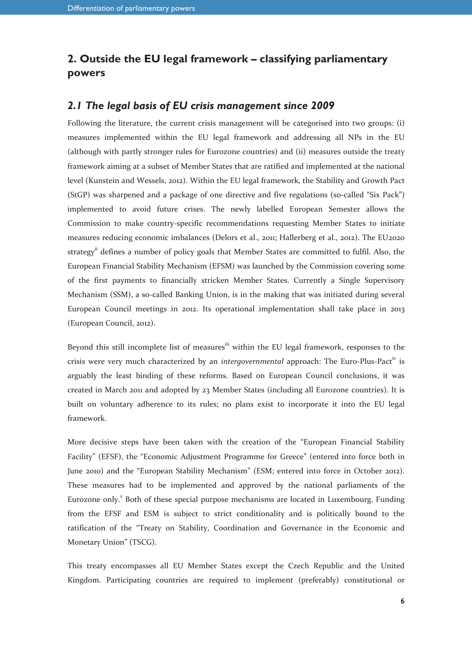# **2. Outside the EU legal framework – classifying parliamentary powers**

#### *2.1 The legal basis of EU crisis management since 2009*

Following the literature, the current crisis management will be categorised into two groups: (i) measures implemented within the EU legal framework and addressing all NPs in the EU (although with partly stronger rules for Eurozone countries) and (ii) measures outside the treaty framework aiming at a subset of Member States that are ratified and implemented at the national level (Kunstein and Wessels, 2012). Within the EU legal framework, the Stability and Growth Pact (StGP) was sharpened and a package of one directive and five regulations (so-called "Six Pack") implemented to avoid future crises. The newly labelled European Semester allows the Commission to make country-specific recommendations requesting Member States to initiate measures reducing economic imbalances (Delors et al., 2011; Hallerberg et al., 2012). The EU2020 strategy<sup>ii</sup> defines a number of policy goals that Member States are committed to fulfil. Also, the European Financial Stability Mechanism (EFSM) was launched by the Commission covering some of the first payments to financially stricken Member States. Currently a Single Supervisory Mechanism (SSM), a so-called Banking Union, is in the making that was initiated during several European Council meetings in 2012. Its operational implementation shall take place in 2013 (European Council, 2012).

Beyond this still incomplete list of measures<sup>iii</sup> within the EU legal framework, responses to the crisis were very much characterized by an *intergovernmental* approach: The Euro-Plus-Pactiv is arguably the least binding of these reforms. Based on European Council conclusions, it was created in March 2011 and adopted by 23 Member States (including all Eurozone countries). It is built on voluntary adherence to its rules; no plans exist to incorporate it into the EU legal framework.

More decisive steps have been taken with the creation of the "European Financial Stability Facility" (EFSF), the "Economic Adjustment Programme for Greece" (entered into force both in June 2010) and the "European Stability Mechanism" (ESM; entered into force in October 2012). These measures had to be implemented and approved by the national parliaments of the Eurozone only.<sup>Y</sup> Both of these special purpose mechanisms are located in Luxembourg. Funding from the EFSF and ESM is subject to strict conditionality and is politically bound to the ratification of the "Treaty on Stability, Coordination and Governance in the Economic and Monetary Union" (TSCG).

This treaty encompasses all EU Member States except the Czech Republic and the United Kingdom. Participating countries are required to implement (preferably) constitutional or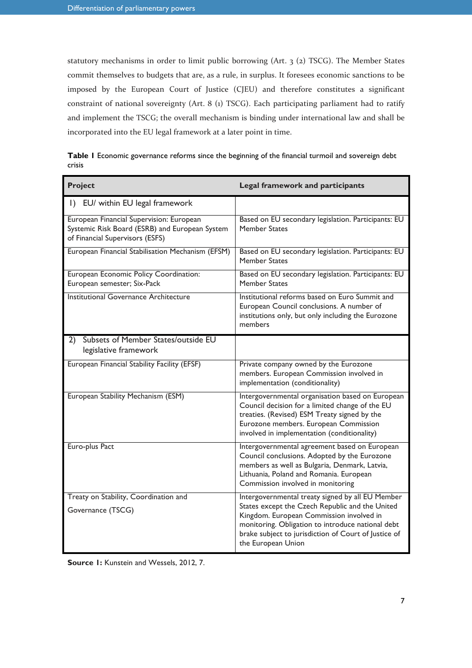statutory mechanisms in order to limit public borrowing (Art. 3 (2) TSCG). The Member States commit themselves to budgets that are, as a rule, in surplus. It foresees economic sanctions to be imposed by the European Court of Justice (CJEU) and therefore constitutes a significant constraint of national sovereignty (Art. 8 (1) TSCG). Each participating parliament had to ratify and implement the TSCG; the overall mechanism is binding under international law and shall be incorporated into the EU legal framework at a later point in time.

| <b>Project</b>                                                                                                                | <b>Legal framework and participants</b>                                                                                                                                                                                                                                            |
|-------------------------------------------------------------------------------------------------------------------------------|------------------------------------------------------------------------------------------------------------------------------------------------------------------------------------------------------------------------------------------------------------------------------------|
| EU/ within EU legal framework<br>$\vert$ )                                                                                    |                                                                                                                                                                                                                                                                                    |
| European Financial Supervision: European<br>Systemic Risk Board (ESRB) and European System<br>of Financial Supervisors (ESFS) | Based on EU secondary legislation. Participants: EU<br>Member States                                                                                                                                                                                                               |
| European Financial Stabilisation Mechanism (EFSM)                                                                             | Based on EU secondary legislation. Participants: EU<br>Member States                                                                                                                                                                                                               |
| European Economic Policy Coordination:<br>European semester; Six-Pack                                                         | Based on EU secondary legislation. Participants: EU<br><b>Member States</b>                                                                                                                                                                                                        |
| Institutional Governance Architecture                                                                                         | Institutional reforms based on Euro Summit and<br>European Council conclusions. A number of<br>institutions only, but only including the Eurozone<br>members                                                                                                                       |
| Subsets of Member States/outside EU<br>2)<br>legislative framework                                                            |                                                                                                                                                                                                                                                                                    |
| European Financial Stability Facility (EFSF)                                                                                  | Private company owned by the Eurozone<br>members. European Commission involved in<br>implementation (conditionality)                                                                                                                                                               |
| European Stability Mechanism (ESM)                                                                                            | Intergovernmental organisation based on European<br>Council decision for a limited change of the EU<br>treaties. (Revised) ESM Treaty signed by the<br>Eurozone members. European Commission<br>involved in implementation (conditionality)                                        |
| Euro-plus Pact                                                                                                                | Intergovernmental agreement based on European<br>Council conclusions. Adopted by the Eurozone<br>members as well as Bulgaria, Denmark, Latvia,<br>Lithuania, Poland and Romania. European<br>Commission involved in monitoring                                                     |
| Treaty on Stability, Coordination and<br>Governance (TSCG)                                                                    | Intergovernmental treaty signed by all EU Member<br>States except the Czech Republic and the United<br>Kingdom. European Commission involved in<br>monitoring. Obligation to introduce national debt<br>brake subject to jurisdiction of Court of Justice of<br>the European Union |

|        | Table I Economic governance reforms since the beginning of the financial turmoil and sovereign debt |  |  |
|--------|-----------------------------------------------------------------------------------------------------|--|--|
| crisis |                                                                                                     |  |  |

**Source 1:** Kunstein and Wessels, 2012, 7.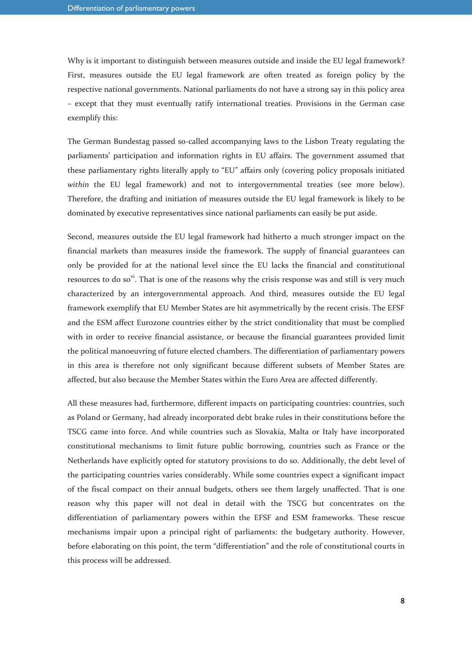Why is it important to distinguish between measures outside and inside the EU legal framework? First, measures outside the EU legal framework are often treated as foreign policy by the respective national governments. National parliaments do not have a strong say in this policy area – except that they must eventually ratify international treaties. Provisions in the German case exemplify this:

The German Bundestag passed so-called accompanying laws to the Lisbon Treaty regulating the parliaments' participation and information rights in EU affairs. The government assumed that these parliamentary rights literally apply to "EU" affairs only (covering policy proposals initiated *within* the EU legal framework) and not to intergovernmental treaties (see more below). Therefore, the drafting and initiation of measures outside the EU legal framework is likely to be dominated by executive representatives since national parliaments can easily be put aside.

Second, measures outside the EU legal framework had hitherto a much stronger impact on the financial markets than measures inside the framework. The supply of financial guarantees can only be provided for at the national level since the EU lacks the financial and constitutional resources to do so<sup>vi</sup>. That is one of the reasons why the crisis response was and still is very much characterized by an intergovernmental approach. And third, measures outside the EU legal framework exemplify that EU Member States are hit asymmetrically by the recent crisis. The EFSF and the ESM affect Eurozone countries either by the strict conditionality that must be complied with in order to receive financial assistance, or because the financial guarantees provided limit the political manoeuvring of future elected chambers. The differentiation of parliamentary powers in this area is therefore not only significant because different subsets of Member States are affected, but also because the Member States within the Euro Area are affected differently.

All these measures had, furthermore, different impacts on participating countries: countries, such as Poland or Germany, had already incorporated debt brake rules in their constitutions before the TSCG came into force. And while countries such as Slovakia, Malta or Italy have incorporated constitutional mechanisms to limit future public borrowing, countries such as France or the Netherlands have explicitly opted for statutory provisions to do so. Additionally, the debt level of the participating countries varies considerably. While some countries expect a significant impact of the fiscal compact on their annual budgets, others see them largely unaffected. That is one reason why this paper will not deal in detail with the TSCG but concentrates on the differentiation of parliamentary powers within the EFSF and ESM frameworks. These rescue mechanisms impair upon a principal right of parliaments: the budgetary authority. However, before elaborating on this point, the term "differentiation" and the role of constitutional courts in this process will be addressed.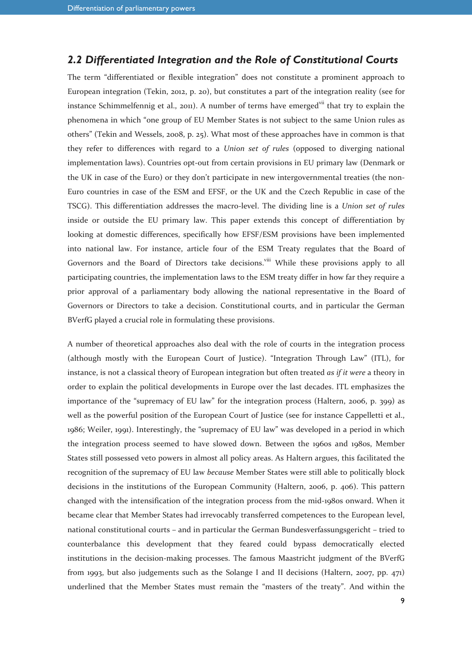#### *2.2 Differentiated Integration and the Role of Constitutional Courts*

The term "differentiated or flexible integration" does not constitute a prominent approach to European integration (Tekin, 2012, p. 20), but constitutes a part of the integration reality (see for instance Schimmelfennig et al., 2011). A number of terms have emerged<sup>vii</sup> that try to explain the phenomena in which "one group of EU Member States is not subject to the same Union rules as others" (Tekin and Wessels, 2008, p. 25). What most of these approaches have in common is that they refer to differences with regard to a *Union set of rules* (opposed to diverging national implementation laws). Countries opt-out from certain provisions in EU primary law (Denmark or the UK in case of the Euro) or they don't participate in new intergovernmental treaties (the non-Euro countries in case of the ESM and EFSF, or the UK and the Czech Republic in case of the TSCG). This differentiation addresses the macro-level. The dividing line is a *Union set of rules* inside or outside the EU primary law. This paper extends this concept of differentiation by looking at domestic differences, specifically how EFSF/ESM provisions have been implemented into national law. For instance, article four of the ESM Treaty regulates that the Board of Governors and the Board of Directors take decisions.<sup>viii</sup> While these provisions apply to all participating countries, the implementation laws to the ESM treaty differ in how far they require a prior approval of a parliamentary body allowing the national representative in the Board of Governors or Directors to take a decision. Constitutional courts, and in particular the German BVerfG played a crucial role in formulating these provisions.

A number of theoretical approaches also deal with the role of courts in the integration process (although mostly with the European Court of Justice). "Integration Through Law" (ITL), for instance, is not a classical theory of European integration but often treated *as if it were* a theory in order to explain the political developments in Europe over the last decades. ITL emphasizes the importance of the "supremacy of EU law" for the integration process (Haltern, 2006, p. 399) as well as the powerful position of the European Court of Justice (see for instance Cappelletti et al., 1986; Weiler, 1991). Interestingly, the "supremacy of EU law" was developed in a period in which the integration process seemed to have slowed down. Between the 1960s and 1980s, Member States still possessed veto powers in almost all policy areas. As Haltern argues, this facilitated the recognition of the supremacy of EU law *because* Member States were still able to politically block decisions in the institutions of the European Community (Haltern, 2006, p. 406). This pattern changed with the intensification of the integration process from the mid-1980s onward. When it became clear that Member States had irrevocably transferred competences to the European level, national constitutional courts – and in particular the German Bundesverfassungsgericht – tried to counterbalance this development that they feared could bypass democratically elected institutions in the decision-making processes. The famous Maastricht judgment of the BVerfG from 1993, but also judgements such as the Solange I and II decisions (Haltern, 2007, pp. 471) underlined that the Member States must remain the "masters of the treaty". And within the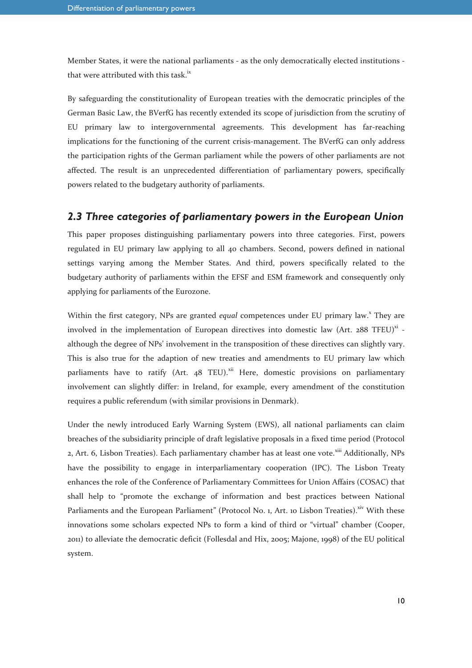Member States, it were the national parliaments - as the only democratically elected institutions that were attributed with this task. $i^{x}$ 

By safeguarding the constitutionality of European treaties with the democratic principles of the German Basic Law, the BVerfG has recently extended its scope of jurisdiction from the scrutiny of EU primary law to intergovernmental agreements. This development has far-reaching implications for the functioning of the current crisis-management. The BVerfG can only address the participation rights of the German parliament while the powers of other parliaments are not affected. The result is an unprecedented differentiation of parliamentary powers, specifically powers related to the budgetary authority of parliaments.

#### *2.3 Three categories of parliamentary powers in the European Union*

This paper proposes distinguishing parliamentary powers into three categories. First, powers regulated in EU primary law applying to all 40 chambers. Second, powers defined in national settings varying among the Member States. And third, powers specifically related to the budgetary authority of parliaments within the EFSF and ESM framework and consequently only applying for parliaments of the Eurozone.

Within the first category, NPs are granted equal competences under EU primary law.<sup>x</sup> They are involved in the implementation of European directives into domestic law (Art.  $288$  TFEU)<sup>xi</sup> although the degree of NPs' involvement in the transposition of these directives can slightly vary. This is also true for the adaption of new treaties and amendments to EU primary law which parliaments have to ratify (Art.  $48$  TEU).<sup>xii</sup> Here, domestic provisions on parliamentary involvement can slightly differ: in Ireland, for example, every amendment of the constitution requires a public referendum (with similar provisions in Denmark).

Under the newly introduced Early Warning System (EWS), all national parliaments can claim breaches of the subsidiarity principle of draft legislative proposals in a fixed time period (Protocol 2, Art. 6, Lisbon Treaties). Each parliamentary chamber has at least one vote.<sup>xiii</sup> Additionally, NPs have the possibility to engage in interparliamentary cooperation (IPC). The Lisbon Treaty enhances the role of the Conference of Parliamentary Committees for Union Affairs (COSAC) that shall help to "promote the exchange of information and best practices between National Parliaments and the European Parliament" (Protocol No. 1, Art. 10 Lisbon Treaties).<sup>xiv</sup> With these innovations some scholars expected NPs to form a kind of third or "virtual" chamber (Cooper, 2011) to alleviate the democratic deficit (Follesdal and Hix, 2005; Majone, 1998) of the EU political system.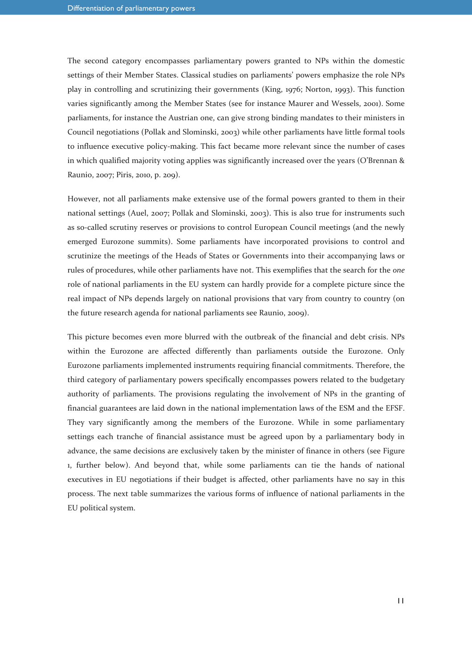The second category encompasses parliamentary powers granted to NPs within the domestic settings of their Member States. Classical studies on parliaments' powers emphasize the role NPs play in controlling and scrutinizing their governments (King, 1976; Norton, 1993). This function varies significantly among the Member States (see for instance Maurer and Wessels, 2001). Some parliaments, for instance the Austrian one, can give strong binding mandates to their ministers in Council negotiations (Pollak and Slominski, 2003) while other parliaments have little formal tools to influence executive policy-making. This fact became more relevant since the number of cases in which qualified majority voting applies was significantly increased over the years (O'Brennan & Raunio, 2007; Piris, 2010, p. 209).

However, not all parliaments make extensive use of the formal powers granted to them in their national settings (Auel, 2007; Pollak and Slominski, 2003). This is also true for instruments such as so-called scrutiny reserves or provisions to control European Council meetings (and the newly emerged Eurozone summits). Some parliaments have incorporated provisions to control and scrutinize the meetings of the Heads of States or Governments into their accompanying laws or rules of procedures, while other parliaments have not. This exemplifies that the search for the *one* role of national parliaments in the EU system can hardly provide for a complete picture since the real impact of NPs depends largely on national provisions that vary from country to country (on the future research agenda for national parliaments see Raunio, 2009).

This picture becomes even more blurred with the outbreak of the financial and debt crisis. NPs within the Eurozone are affected differently than parliaments outside the Eurozone. Only Eurozone parliaments implemented instruments requiring financial commitments. Therefore, the third category of parliamentary powers specifically encompasses powers related to the budgetary authority of parliaments. The provisions regulating the involvement of NPs in the granting of financial guarantees are laid down in the national implementation laws of the ESM and the EFSF. They vary significantly among the members of the Eurozone. While in some parliamentary settings each tranche of financial assistance must be agreed upon by a parliamentary body in advance, the same decisions are exclusively taken by the minister of finance in others (see Figure 1, further below). And beyond that, while some parliaments can tie the hands of national executives in EU negotiations if their budget is affected, other parliaments have no say in this process. The next table summarizes the various forms of influence of national parliaments in the EU political system.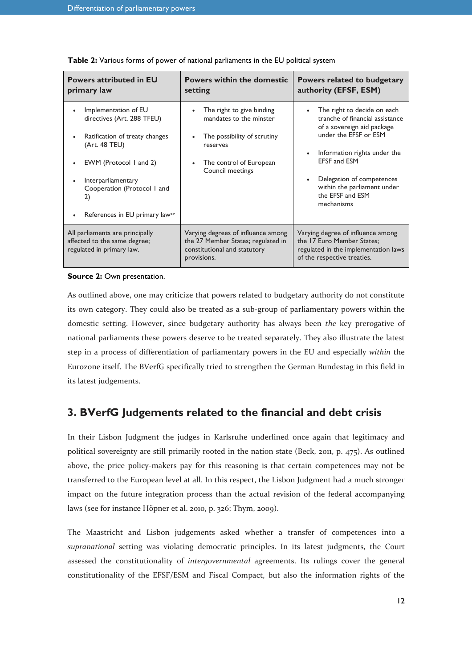| <b>Powers attributed in EU</b><br>primary law                                                                                                                                                                                | <b>Powers within the domestic</b><br>setting                                                                                                   | Powers related to budgetary<br>authority (EFSF, ESM)                                                                                                                                                                                                                                    |
|------------------------------------------------------------------------------------------------------------------------------------------------------------------------------------------------------------------------------|------------------------------------------------------------------------------------------------------------------------------------------------|-----------------------------------------------------------------------------------------------------------------------------------------------------------------------------------------------------------------------------------------------------------------------------------------|
| Implementation of EU<br>directives (Art. 288 TFEU)<br>Ratification of treaty changes<br>(Art. 48 TEU)<br>EWM (Protocol 1 and 2)<br>Interparliamentary<br>Cooperation (Protocol I and<br>2)<br>References in EU primary lawxv | The right to give binding<br>mandates to the minster<br>The possibility of scrutiny<br>reserves<br>The control of European<br>Council meetings | The right to decide on each<br>$\bullet$<br>tranche of financial assistance<br>of a sovereign aid package<br>under the EFSF or ESM<br>Information rights under the<br><b>EFSF and ESM</b><br>Delegation of competences<br>within the parliament under<br>the EFSF and ESM<br>mechanisms |
| All parliaments are principally<br>affected to the same degree;<br>regulated in primary law.                                                                                                                                 | Varying degrees of influence among<br>the 27 Member States; regulated in<br>constitutional and statutory<br>provisions.                        | Varying degree of influence among<br>the 17 Euro Member States:<br>regulated in the implementation laws<br>of the respective treaties.                                                                                                                                                  |

**Table 2:** Various forms of power of national parliaments in the EU political system

#### **Source 2:** Own presentation.

As outlined above, one may criticize that powers related to budgetary authority do not constitute its own category. They could also be treated as a sub-group of parliamentary powers within the domestic setting. However, since budgetary authority has always been *the* key prerogative of national parliaments these powers deserve to be treated separately. They also illustrate the latest step in a process of differentiation of parliamentary powers in the EU and especially *within* the Eurozone itself. The BVerfG specifically tried to strengthen the German Bundestag in this field in its latest judgements.

### **3. BVerfG Judgements related to the financial and debt crisis**

In their Lisbon Judgment the judges in Karlsruhe underlined once again that legitimacy and political sovereignty are still primarily rooted in the nation state (Beck, 2011, p. 475). As outlined above, the price policy-makers pay for this reasoning is that certain competences may not be transferred to the European level at all. In this respect, the Lisbon Judgment had a much stronger impact on the future integration process than the actual revision of the federal accompanying laws (see for instance Höpner et al. 2010, p. 326; Thym, 2009).

The Maastricht and Lisbon judgements asked whether a transfer of competences into a *supranational* setting was violating democratic principles. In its latest judgments, the Court assessed the constitutionality of *intergovernmental* agreements. Its rulings cover the general constitutionality of the EFSF/ESM and Fiscal Compact, but also the information rights of the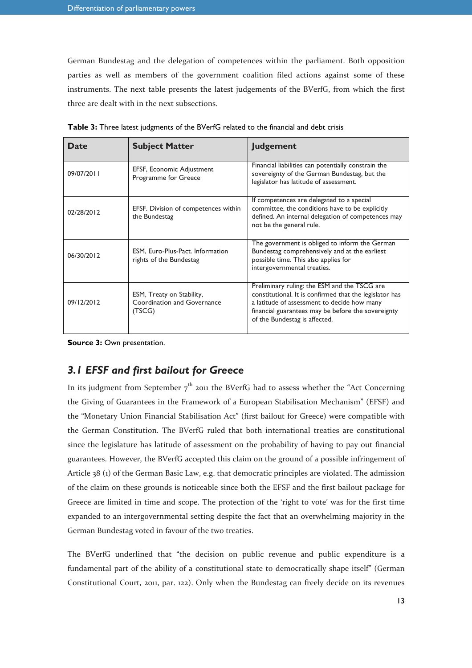German Bundestag and the delegation of competences within the parliament. Both opposition parties as well as members of the government coalition filed actions against some of these instruments. The next table presents the latest judgements of the BVerfG, from which the first three are dealt with in the next subsections.

| Date       | <b>Subject Matter</b>                                              | <b>Judgement</b>                                                                                                                                                                                                                              |  |  |
|------------|--------------------------------------------------------------------|-----------------------------------------------------------------------------------------------------------------------------------------------------------------------------------------------------------------------------------------------|--|--|
| 09/07/2011 | EFSF, Economic Adjustment<br>Programme for Greece                  | Financial liabilities can potentially constrain the<br>sovereignty of the German Bundestag, but the<br>legislator has latitude of assessment.                                                                                                 |  |  |
| 02/28/2012 | EFSF. Division of competences within<br>the Bundestag              | If competences are delegated to a special<br>committee, the conditions have to be explicitly<br>defined. An internal delegation of competences may<br>not be the general rule.                                                                |  |  |
| 06/30/2012 | ESM, Euro-Plus-Pact. Information<br>rights of the Bundestag        | The government is obliged to inform the German<br>Bundestag comprehensively and at the earliest<br>possible time. This also applies for<br>intergovernmental treaties.                                                                        |  |  |
| 09/12/2012 | ESM, Treaty on Stability,<br>Coordination and Governance<br>(TSCG) | Preliminary ruling: the ESM and the TSCG are<br>constitutional. It is confirmed that the legislator has<br>a latitude of assessment to decide how many<br>financial guarantees may be before the sovereignty<br>of the Bundestag is affected. |  |  |

**Table 3:** Three latest judgments of the BVerfG related to the financial and debt crisis

**Source 3:** Own presentation.

## *3.1 EFSF and first bailout for Greece*

In its judgment from September  $7<sup>th</sup>$  2011 the BVerfG had to assess whether the "Act Concerning the Giving of Guarantees in the Framework of a European Stabilisation Mechanism" (EFSF) and the "Monetary Union Financial Stabilisation Act" (first bailout for Greece) were compatible with the German Constitution. The BVerfG ruled that both international treaties are constitutional since the legislature has latitude of assessment on the probability of having to pay out financial guarantees. However, the BVerfG accepted this claim on the ground of a possible infringement of Article 38 (1) of the German Basic Law, e.g. that democratic principles are violated. The admission of the claim on these grounds is noticeable since both the EFSF and the first bailout package for Greece are limited in time and scope. The protection of the 'right to vote' was for the first time expanded to an intergovernmental setting despite the fact that an overwhelming majority in the German Bundestag voted in favour of the two treaties.

The BVerfG underlined that "the decision on public revenue and public expenditure is a fundamental part of the ability of a constitutional state to democratically shape itself" (German Constitutional Court, 2011, par. 122). Only when the Bundestag can freely decide on its revenues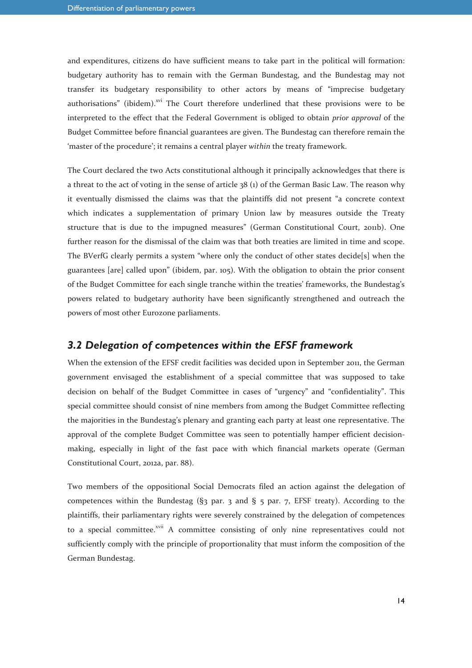and expenditures, citizens do have sufficient means to take part in the political will formation: budgetary authority has to remain with the German Bundestag, and the Bundestag may not transfer its budgetary responsibility to other actors by means of "imprecise budgetary authorisations" (ibidem).<sup>xvi</sup> The Court therefore underlined that these provisions were to be interpreted to the effect that the Federal Government is obliged to obtain *prior approval* of the Budget Committee before financial guarantees are given. The Bundestag can therefore remain the 'master of the procedure'; it remains a central player *within* the treaty framework.

The Court declared the two Acts constitutional although it principally acknowledges that there is a threat to the act of voting in the sense of article  $38 \text{ (i)}$  of the German Basic Law. The reason why it eventually dismissed the claims was that the plaintiffs did not present "a concrete context which indicates a supplementation of primary Union law by measures outside the Treaty structure that is due to the impugned measures" (German Constitutional Court, 2011b). One further reason for the dismissal of the claim was that both treaties are limited in time and scope. The BVerfG clearly permits a system "where only the conduct of other states decide[s] when the guarantees [are] called upon" (ibidem, par. 105). With the obligation to obtain the prior consent of the Budget Committee for each single tranche within the treaties' frameworks, the Bundestag's powers related to budgetary authority have been significantly strengthened and outreach the powers of most other Eurozone parliaments.

#### *3.2 Delegation of competences within the EFSF framework*

When the extension of the EFSF credit facilities was decided upon in September 2011, the German government envisaged the establishment of a special committee that was supposed to take decision on behalf of the Budget Committee in cases of "urgency" and "confidentiality". This special committee should consist of nine members from among the Budget Committee reflecting the majorities in the Bundestag's plenary and granting each party at least one representative. The approval of the complete Budget Committee was seen to potentially hamper efficient decisionmaking, especially in light of the fast pace with which financial markets operate (German Constitutional Court, 2012a, par. 88).

Two members of the oppositional Social Democrats filed an action against the delegation of competences within the Bundestag ( $\S$ 3 par. 3 and  $\S$  5 par. 7, EFSF treaty). According to the plaintiffs, their parliamentary rights were severely constrained by the delegation of competences to a special committee.<sup>xvii</sup> A committee consisting of only nine representatives could not sufficiently comply with the principle of proportionality that must inform the composition of the German Bundestag.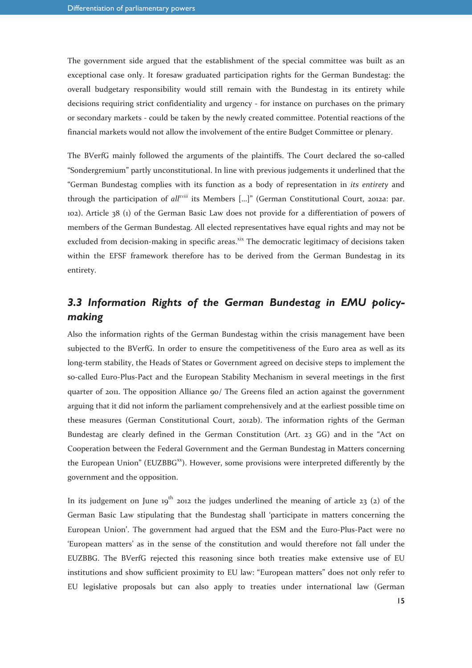The government side argued that the establishment of the special committee was built as an exceptional case only. It foresaw graduated participation rights for the German Bundestag: the overall budgetary responsibility would still remain with the Bundestag in its entirety while decisions requiring strict confidentiality and urgency - for instance on purchases on the primary or secondary markets - could be taken by the newly created committee. Potential reactions of the financial markets would not allow the involvement of the entire Budget Committee or plenary.

The BVerfG mainly followed the arguments of the plaintiffs. The Court declared the so-called "Sondergremium" partly unconstitutional. In line with previous judgements it underlined that the "German Bundestag complies with its function as a body of representation in *its entirety* and through the participation of *allxviii* its Members […]" (German Constitutional Court, 2012a: par. 102). Article 38 (1) of the German Basic Law does not provide for a differentiation of powers of members of the German Bundestag. All elected representatives have equal rights and may not be excluded from decision-making in specific areas.<sup>xix</sup> The democratic legitimacy of decisions taken within the EFSF framework therefore has to be derived from the German Bundestag in its entirety.

# *3.3 Information Rights of the German Bundestag in EMU policymaking*

Also the information rights of the German Bundestag within the crisis management have been subjected to the BVerfG. In order to ensure the competitiveness of the Euro area as well as its long-term stability, the Heads of States or Government agreed on decisive steps to implement the so-called Euro-Plus-Pact and the European Stability Mechanism in several meetings in the first quarter of 2011. The opposition Alliance 90/ The Greens filed an action against the government arguing that it did not inform the parliament comprehensively and at the earliest possible time on these measures (German Constitutional Court, 2012b). The information rights of the German Bundestag are clearly defined in the German Constitution (Art. 23 GG) and in the "Act on Cooperation between the Federal Government and the German Bundestag in Matters concerning the European Union" (EUZBB $G^{xx}$ ). However, some provisions were interpreted differently by the government and the opposition.

In its judgement on June  $19^{th}$  2012 the judges underlined the meaning of article 23 (2) of the German Basic Law stipulating that the Bundestag shall 'participate in matters concerning the European Union'. The government had argued that the ESM and the Euro-Plus-Pact were no 'European matters' as in the sense of the constitution and would therefore not fall under the EUZBBG. The BVerfG rejected this reasoning since both treaties make extensive use of EU institutions and show sufficient proximity to EU law: "European matters" does not only refer to EU legislative proposals but can also apply to treaties under international law (German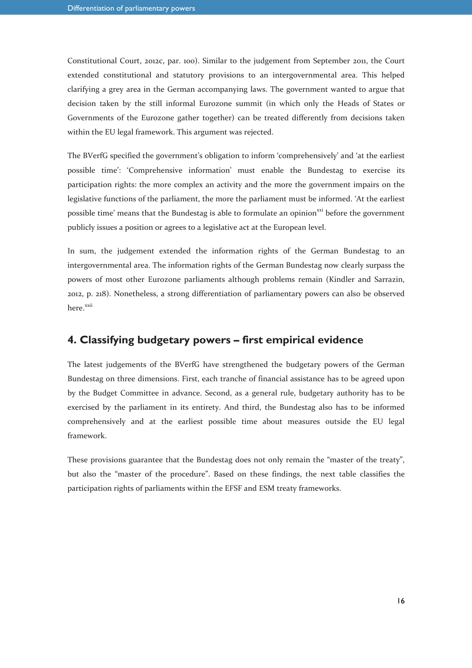Constitutional Court, 2012c, par. 100). Similar to the judgement from September 2011, the Court extended constitutional and statutory provisions to an intergovernmental area. This helped clarifying a grey area in the German accompanying laws. The government wanted to argue that decision taken by the still informal Eurozone summit (in which only the Heads of States or Governments of the Eurozone gather together) can be treated differently from decisions taken within the EU legal framework. This argument was rejected.

The BVerfG specified the government's obligation to inform 'comprehensively' and 'at the earliest possible time': 'Comprehensive information' must enable the Bundestag to exercise its participation rights: the more complex an activity and the more the government impairs on the legislative functions of the parliament, the more the parliament must be informed. 'At the earliest possible time' means that the Bundestag is able to formulate an opinion<sup>xxi</sup> before the government publicly issues a position or agrees to a legislative act at the European level.

In sum, the judgement extended the information rights of the German Bundestag to an intergovernmental area. The information rights of the German Bundestag now clearly surpass the powers of most other Eurozone parliaments although problems remain (Kindler and Sarrazin, 2012, p. 218). Nonetheless, a strong differentiation of parliamentary powers can also be observed here.<sup>xxii</sup>

#### **4. Classifying budgetary powers – first empirical evidence**

The latest judgements of the BVerfG have strengthened the budgetary powers of the German Bundestag on three dimensions. First, each tranche of financial assistance has to be agreed upon by the Budget Committee in advance. Second, as a general rule, budgetary authority has to be exercised by the parliament in its entirety. And third, the Bundestag also has to be informed comprehensively and at the earliest possible time about measures outside the EU legal framework.

These provisions guarantee that the Bundestag does not only remain the "master of the treaty", but also the "master of the procedure". Based on these findings, the next table classifies the participation rights of parliaments within the EFSF and ESM treaty frameworks.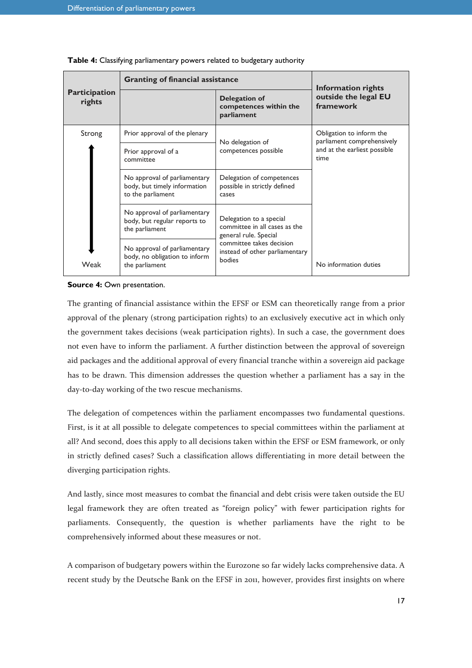|                                | <b>Granting of financial assistance</b>                                                                                                                             | <b>Information rights</b>                                            |                                                                                                |  |
|--------------------------------|---------------------------------------------------------------------------------------------------------------------------------------------------------------------|----------------------------------------------------------------------|------------------------------------------------------------------------------------------------|--|
| <b>Participation</b><br>rights |                                                                                                                                                                     | <b>Delegation of</b><br>competences within the<br>parliament         | outside the legal EU<br>framework                                                              |  |
| Strong                         | Prior approval of the plenary                                                                                                                                       | No delegation of                                                     | Obligation to inform the<br>parliament comprehensively<br>and at the earliest possible<br>time |  |
|                                | Prior approval of a<br>committee                                                                                                                                    | competences possible                                                 |                                                                                                |  |
|                                | No approval of parliamentary<br>body, but timely information<br>to the parliament                                                                                   | Delegation of competences<br>possible in strictly defined<br>cases   |                                                                                                |  |
| Weak                           | No approval of parliamentary<br>Delegation to a special<br>body, but regular reports to<br>committee in all cases as the<br>the parliament<br>general rule. Special |                                                                      |                                                                                                |  |
|                                | No approval of parliamentary<br>body, no obligation to inform<br>the parliament                                                                                     | committee takes decision<br>instead of other parliamentary<br>bodies | No information duties                                                                          |  |

**Table 4:** Classifying parliamentary powers related to budgetary authority

**Source 4: Own presentation.** 

The granting of financial assistance within the EFSF or ESM can theoretically range from a prior approval of the plenary (strong participation rights) to an exclusively executive act in which only the government takes decisions (weak participation rights). In such a case, the government does not even have to inform the parliament. A further distinction between the approval of sovereign aid packages and the additional approval of every financial tranche within a sovereign aid package has to be drawn. This dimension addresses the question whether a parliament has a say in the day-to-day working of the two rescue mechanisms.

The delegation of competences within the parliament encompasses two fundamental questions. First, is it at all possible to delegate competences to special committees within the parliament at all? And second, does this apply to all decisions taken within the EFSF or ESM framework, or only in strictly defined cases? Such a classification allows differentiating in more detail between the diverging participation rights.

And lastly, since most measures to combat the financial and debt crisis were taken outside the EU legal framework they are often treated as "foreign policy" with fewer participation rights for parliaments. Consequently, the question is whether parliaments have the right to be comprehensively informed about these measures or not.

A comparison of budgetary powers within the Eurozone so far widely lacks comprehensive data. A recent study by the Deutsche Bank on the EFSF in 2011, however, provides first insights on where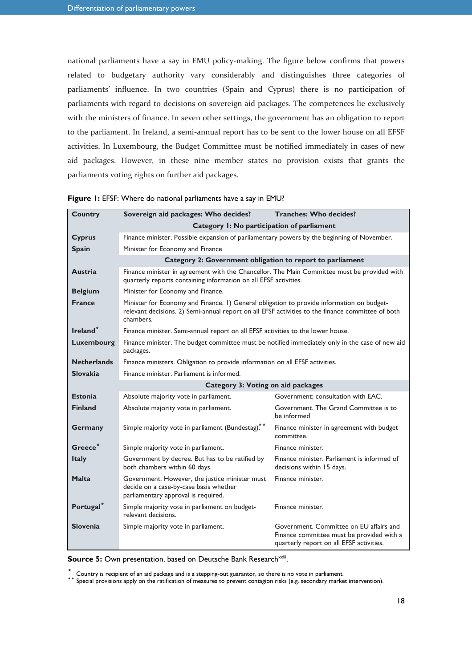national parliaments have a say in EMU policy-making. The figure below confirms that powers related to budgetary authority vary considerably and distinguishes three categories of parliaments' influence. In two countries (Spain and Cyprus) there is no participation of parliaments with regard to decisions on sovereign aid packages. The competences lie exclusively with the ministers of finance. In seven other settings, the government has an obligation to report to the parliament. In Ireland, a semi-annual report has to be sent to the lower house on all EFSF activities. In Luxembourg, the Budget Committee must be notified immediately in cases of new aid packages. However, in these nine member states no provision exists that grants the parliaments voting rights on further aid packages.

| <b>Country</b>        | Sovereign aid packages: Who decides?                                                                                                                                                                        | <b>Tranches: Who decides?</b>                                                                                                    |  |  |  |  |
|-----------------------|-------------------------------------------------------------------------------------------------------------------------------------------------------------------------------------------------------------|----------------------------------------------------------------------------------------------------------------------------------|--|--|--|--|
|                       | Category I: No participation of parliament                                                                                                                                                                  |                                                                                                                                  |  |  |  |  |
| <b>Cyprus</b>         | Finance minister. Possible expansion of parliamentary powers by the beginning of November.                                                                                                                  |                                                                                                                                  |  |  |  |  |
| <b>Spain</b>          | Minister for Economy and Finance                                                                                                                                                                            |                                                                                                                                  |  |  |  |  |
|                       | Category 2: Government obligation to report to parliament                                                                                                                                                   |                                                                                                                                  |  |  |  |  |
| <b>Austria</b>        | Finance minister in agreement with the Chancellor. The Main Committee must be provided with<br>quarterly reports containing information on all EFSF activities.                                             |                                                                                                                                  |  |  |  |  |
| <b>Belgium</b>        | Minister for Economy and Finance.                                                                                                                                                                           |                                                                                                                                  |  |  |  |  |
| <b>France</b>         | Minister for Economy and Finance. 1) General obligation to provide information on budget-<br>relevant decisions. 2) Semi-annual report on all EFSF activities to the finance committee of both<br>chambers. |                                                                                                                                  |  |  |  |  |
| Ireland <sup>*</sup>  | Finance minister. Semi-annual report on all EFSF activities to the lower house.                                                                                                                             |                                                                                                                                  |  |  |  |  |
| Luxembourg            | Finance minister. The budget committee must be notified immediately only in the case of new aid<br>packages.                                                                                                |                                                                                                                                  |  |  |  |  |
| <b>Netherlands</b>    | Finance ministers. Obligation to provide information on all EFSF activities.                                                                                                                                |                                                                                                                                  |  |  |  |  |
| <b>Slovakia</b>       | Finance minister. Parliament is informed.                                                                                                                                                                   |                                                                                                                                  |  |  |  |  |
|                       | <b>Category 3: Voting on aid packages</b>                                                                                                                                                                   |                                                                                                                                  |  |  |  |  |
| <b>Estonia</b>        | Absolute majority vote in parliament.                                                                                                                                                                       | Government; consultation with EAC.                                                                                               |  |  |  |  |
| <b>Finland</b>        | Absolute majority vote in parliament.                                                                                                                                                                       | Government. The Grand Committee is to<br>be informed                                                                             |  |  |  |  |
| <b>Germany</b>        | Simple majority vote in parliament (Bundestag).**                                                                                                                                                           | Finance minister in agreement with budget<br>committee.                                                                          |  |  |  |  |
| Greece <sup>*</sup>   | Simple majority vote in parliament.                                                                                                                                                                         | Finance minister.                                                                                                                |  |  |  |  |
| <b>Italy</b>          | Government by decree. But has to be ratified by<br>both chambers within 60 days.                                                                                                                            | Finance minister. Parliament is informed of<br>decisions within 15 days.                                                         |  |  |  |  |
| <b>Malta</b>          | Government. However, the justice minister must<br>decide on a case-by-case basis whether<br>parliamentary approval is required.                                                                             | Finance minister.                                                                                                                |  |  |  |  |
| Portugal <sup>*</sup> | Simple majority vote in parliament on budget-<br>relevant decisions.                                                                                                                                        | Finance minister.                                                                                                                |  |  |  |  |
| <b>Slovenia</b>       | Simple majority vote in parliament.                                                                                                                                                                         | Government. Committee on EU affairs and<br>Finance committee must be provided with a<br>quarterly report on all EFSF activities. |  |  |  |  |

|  |  |  |  |  |  |  | Figure 1: EFSF: Where do national parliaments have a say in EMU? |
|--|--|--|--|--|--|--|------------------------------------------------------------------|
|--|--|--|--|--|--|--|------------------------------------------------------------------|

Source 5: Own presentation, based on Deutsche Bank Research<sup>xxiii</sup>.

⃰ Country is recipient of an aid package and is a stepping-out guarantor, so there is no vote in parliament.

<sup>\*\*</sup> Special provisions apply on the ratification of measures to prevent contagion risks (e.g. secondary market intervention).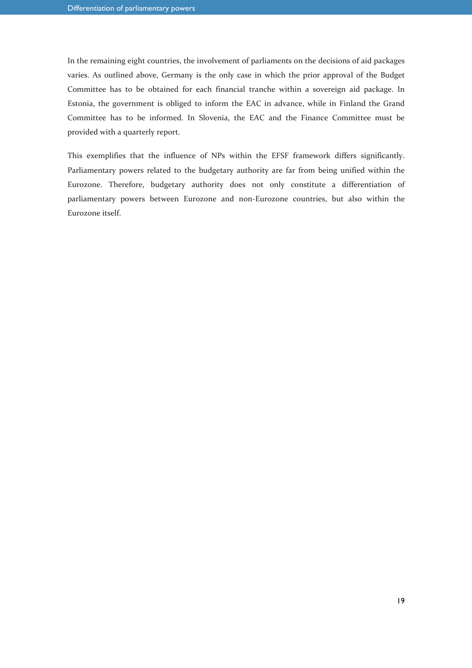In the remaining eight countries, the involvement of parliaments on the decisions of aid packages varies. As outlined above, Germany is the only case in which the prior approval of the Budget Committee has to be obtained for each financial tranche within a sovereign aid package. In Estonia, the government is obliged to inform the EAC in advance, while in Finland the Grand Committee has to be informed. In Slovenia, the EAC and the Finance Committee must be provided with a quarterly report.

This exemplifies that the influence of NPs within the EFSF framework differs significantly. Parliamentary powers related to the budgetary authority are far from being unified within the Eurozone. Therefore, budgetary authority does not only constitute a differentiation of parliamentary powers between Eurozone and non-Eurozone countries, but also within the Eurozone itself.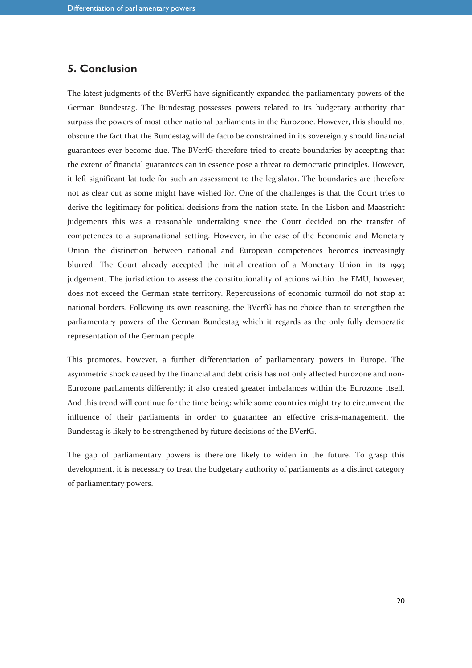### **5. Conclusion**

The latest judgments of the BVerfG have significantly expanded the parliamentary powers of the German Bundestag. The Bundestag possesses powers related to its budgetary authority that surpass the powers of most other national parliaments in the Eurozone. However, this should not obscure the fact that the Bundestag will de facto be constrained in its sovereignty should financial guarantees ever become due. The BVerfG therefore tried to create boundaries by accepting that the extent of financial guarantees can in essence pose a threat to democratic principles. However, it left significant latitude for such an assessment to the legislator. The boundaries are therefore not as clear cut as some might have wished for. One of the challenges is that the Court tries to derive the legitimacy for political decisions from the nation state. In the Lisbon and Maastricht judgements this was a reasonable undertaking since the Court decided on the transfer of competences to a supranational setting. However, in the case of the Economic and Monetary Union the distinction between national and European competences becomes increasingly blurred. The Court already accepted the initial creation of a Monetary Union in its 1993 judgement. The jurisdiction to assess the constitutionality of actions within the EMU, however, does not exceed the German state territory. Repercussions of economic turmoil do not stop at national borders. Following its own reasoning, the BVerfG has no choice than to strengthen the parliamentary powers of the German Bundestag which it regards as the only fully democratic representation of the German people.

This promotes, however, a further differentiation of parliamentary powers in Europe. The asymmetric shock caused by the financial and debt crisis has not only affected Eurozone and non-Eurozone parliaments differently; it also created greater imbalances within the Eurozone itself. And this trend will continue for the time being: while some countries might try to circumvent the influence of their parliaments in order to guarantee an effective crisis-management, the Bundestag is likely to be strengthened by future decisions of the BVerfG.

The gap of parliamentary powers is therefore likely to widen in the future. To grasp this development, it is necessary to treat the budgetary authority of parliaments as a distinct category of parliamentary powers.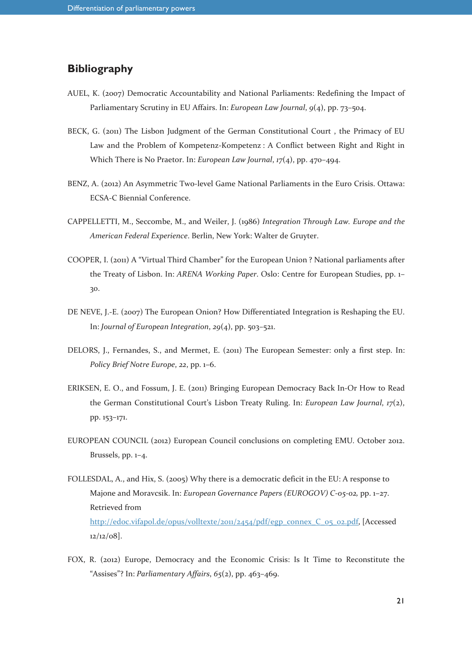# **Bibliography**

- AUEL, K. (2007) Democratic Accountability and National Parliaments: Redefining the Impact of Parliamentary Scrutiny in EU Affairs. In: *European Law Journal*, *9*(4), pp. 73–504.
- BECK, G. (2011) The Lisbon Judgment of the German Constitutional Court , the Primacy of EU Law and the Problem of Kompetenz-Kompetenz : A Conflict between Right and Right in Which There is No Praetor. In: *European Law Journal*, *17*(4), pp. 470–494.
- BENZ, A. (2012) An Asymmetric Two-level Game National Parliaments in the Euro Crisis. Ottawa: ECSA-C Biennial Conference.
- CAPPELLETTI, M., Seccombe, M., and Weiler, J. (1986) *Integration Through Law. Europe and the American Federal Experience*. Berlin, New York: Walter de Gruyter.
- COOPER, I. (2011) A "Virtual Third Chamber" for the European Union ? National parliaments after the Treaty of Lisbon. In: *ARENA Working Paper*. Oslo: Centre for European Studies, pp. 1– 30.
- DE NEVE, J.-E. (2007) The European Onion? How Differentiated Integration is Reshaping the EU. In: *Journal of European Integration*, *29*(4), pp. 503–521.
- DELORS, J., Fernandes, S., and Mermet, E. (2011) The European Semester: only a first step. In: *Policy Brief Notre Europe*, *22*, pp. 1–6.
- ERIKSEN, E. O., and Fossum, J. E. (2011) Bringing European Democracy Back In-Or How to Read the German Constitutional Court's Lisbon Treaty Ruling. In: *European Law Journal*, *17*(2), pp. 153–171.
- EUROPEAN COUNCIL (2012) European Council conclusions on completing EMU*.* October 2012. Brussels, pp. 1–4.
- FOLLESDAL, A., and Hix, S. (2005) Why there is a democratic deficit in the EU: A response to Majone and Moravcsik. In: *European Governance Papers (EUROGOV) C-05-02,* pp. 1–27. Retrieved from http://edoc.vifapol.de/opus/volltexte/2011/2454/pdf/egp\_connex\_C\_05\_02.pdf, [Accessed 12/12/08].
- FOX, R. (2012) Europe, Democracy and the Economic Crisis: Is It Time to Reconstitute the "Assises"? In: *Parliamentary Affairs*, *65*(2), pp. 463–469.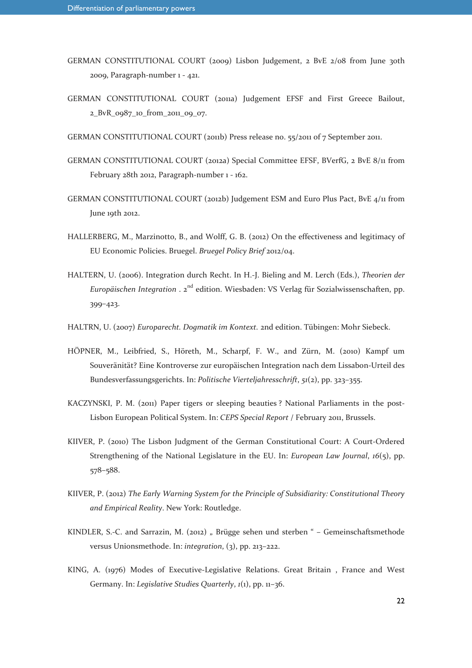- GERMAN CONSTITUTIONAL COURT (2009) Lisbon Judgement, 2 BvE 2/08 from June 30th 2009, Paragraph-number 1 - 421.
- GERMAN CONSTITUTIONAL COURT (2011a) Judgement EFSF and First Greece Bailout, 2\_BvR\_0987\_10\_from\_2011\_09\_07.
- GERMAN CONSTITUTIONAL COURT (2011b) Press release no. 55/2011 of 7 September 2011.
- GERMAN CONSTITUTIONAL COURT (2012a) Special Committee EFSF, BVerfG, 2 BvE 8/11 from February 28th 2012, Paragraph-number 1 - 162.
- GERMAN CONSTITUTIONAL COURT (2012b) Judgement ESM and Euro Plus Pact, BvE 4/11 from June 19th 2012.
- HALLERBERG, M., Marzinotto, B., and Wolff, G. B. (2012) On the effectiveness and legitimacy of EU Economic Policies. Bruegel. *Bruegel Policy Brief* 2012/04.
- HALTERN, U. (2006). Integration durch Recht. In H.-J. Bieling and M. Lerch (Eds.), *Theorien der*  Europäischen Integration . 2<sup>nd</sup> edition. Wiesbaden: VS Verlag für Sozialwissenschaften, pp. 399–423.
- HALTRN, U. (2007) *Europarecht. Dogmatik im Kontext.* 2nd edition. Tübingen: Mohr Siebeck.
- HÖPNER, M., Leibfried, S., Höreth, M., Scharpf, F. W., and Zürn, M. (2010) Kampf um Souveränität? Eine Kontroverse zur europäischen Integration nach dem Lissabon-Urteil des Bundesverfassungsgerichts. In: *Politische Vierteljahresschrift*, *51*(2), pp. 323–355.
- KACZYNSKI, P. M. (2011) Paper tigers or sleeping beauties ? National Parliaments in the post-Lisbon European Political System. In: *CEPS Special Report* / February 2011, Brussels.
- KIIVER, P. (2010) The Lisbon Judgment of the German Constitutional Court: A Court-Ordered Strengthening of the National Legislature in the EU. In: *European Law Journal*, *16*(5), pp. 578–588.
- KIIVER, P. (2012) *The Early Warning System for the Principle of Subsidiarity: Constitutional Theory and Empirical Reality*. New York: Routledge.
- KINDLER, S.-C. and Sarrazin, M. (2012) " Brügge sehen und sterben " Gemeinschaftsmethode versus Unionsmethode. In: *integration*, (3), pp. 213–222.
- KING, A. (1976) Modes of Executive-Legislative Relations. Great Britain , France and West Germany. In: *Legislative Studies Quarterly*, *1*(1), pp. 11–36.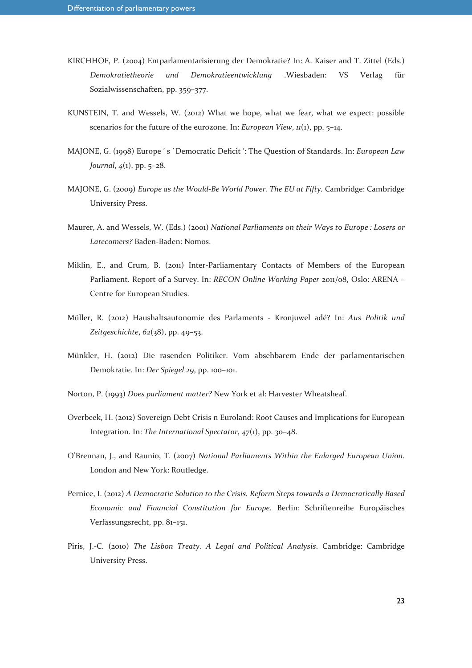- KIRCHHOF, P. (2004) Entparlamentarisierung der Demokratie? In: A. Kaiser and T. Zittel (Eds.) *Demokratietheorie und Demokratieentwicklung* .Wiesbaden: VS Verlag für Sozialwissenschaften, pp. 359–377.
- KUNSTEIN, T. and Wessels, W. (2012) What we hope, what we fear, what we expect: possible scenarios for the future of the eurozone. In: *European View*, *11*(1), pp. 5–14.
- MAJONE, G. (1998) Europe ' s `Democratic Deficit ': The Question of Standards. In: *European Law Journal*, *4*(1), pp. 5–28.
- MAJONE, G. (2009) *Europe as the Would-Be World Power. The EU at Fifty.* Cambridge: Cambridge University Press.
- Maurer, A. and Wessels, W. (Eds.) (2001) *National Parliaments on their Ways to Europe : Losers or Latecomers?* Baden-Baden: Nomos.
- Miklin, E., and Crum, B. (2011) Inter-Parliamentary Contacts of Members of the European Parliament. Report of a Survey. In: *RECON Online Working Paper* 2011/08, Oslo: ARENA – Centre for European Studies.
- Müller, R. (2012) Haushaltsautonomie des Parlaments Kronjuwel adé? In: *Aus Politik und Zeitgeschichte*, *62*(38), pp. 49–53.
- Münkler, H. (2012) Die rasenden Politiker. Vom absehbarem Ende der parlamentarischen Demokratie. In: *Der Spiegel 29*, pp. 100–101.
- Norton, P. (1993) *Does parliament matter?* New York et al: Harvester Wheatsheaf.
- Overbeek, H. (2012) Sovereign Debt Crisis n Euroland: Root Causes and Implications for European Integration. In: *The International Spectator*, *47*(1), pp. 30–48.
- O'Brennan, J., and Raunio, T. (2007) *National Parliaments Within the Enlarged European Union*. London and New York: Routledge.
- Pernice, I. (2012) *A Democratic Solution to the Crisis. Reform Steps towards a Democratically Based Economic and Financial Constitution for Europe*. Berlin: Schriftenreihe Europäisches Verfassungsrecht, pp. 81–151.
- Piris, J.-C. (2010) *The Lisbon Treaty. A Legal and Political Analysis*. Cambridge: Cambridge University Press.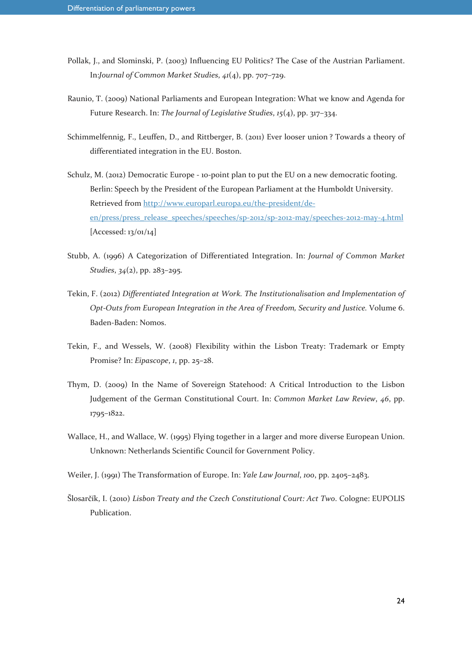- Pollak, J., and Slominski, P. (2003) Influencing EU Politics? The Case of the Austrian Parliament. In:*Journal of Common Market Studies*, *41*(4), pp. 707–729.
- Raunio, T. (2009) National Parliaments and European Integration: What we know and Agenda for Future Research. In: *The Journal of Legislative Studies*, *15*(4), pp. 317–334.
- Schimmelfennig, F., Leuffen, D., and Rittberger, B. (2011) Ever looser union ? Towards a theory of differentiated integration in the EU. Boston.
- Schulz, M. (2012) Democratic Europe 10-point plan to put the EU on a new democratic footing. Berlin: Speech by the President of the European Parliament at the Humboldt University. Retrieved from http://www.europarl.europa.eu/the-president/deen/press/press\_release\_speeches/speeches/sp-2012/sp-2012-may/speeches-2012-may-4.html [Accessed: 13/01/14]
- Stubb, A. (1996) A Categorization of Differentiated Integration. In: *Journal of Common Market Studies*, *34*(2), pp. 283–295.
- Tekin, F. (2012) *Differentiated Integration at Work. The Institutionalisation and Implementation of Opt-Outs from European Integration in the Area of Freedom, Security and Justice.* Volume 6. Baden-Baden: Nomos.
- Tekin, F., and Wessels, W. (2008) Flexibility within the Lisbon Treaty: Trademark or Empty Promise? In: *Eipascope*, *1*, pp. 25–28.
- Thym, D. (2009) In the Name of Sovereign Statehood: A Critical Introduction to the Lisbon Judgement of the German Constitutional Court. In: *Common Market Law Review*, *46*, pp. 1795–1822.
- Wallace, H., and Wallace, W. (1995) Flying together in a larger and more diverse European Union. Unknown: Netherlands Scientific Council for Government Policy.
- Weiler, J. (1991) The Transformation of Europe. In: *Yale Law Journal*, *100*, pp. 2405–2483.
- Šlosarčík, I. (2010) *Lisbon Treaty and the Czech Constitutional Court: Act Two*. Cologne: EUPOLIS Publication.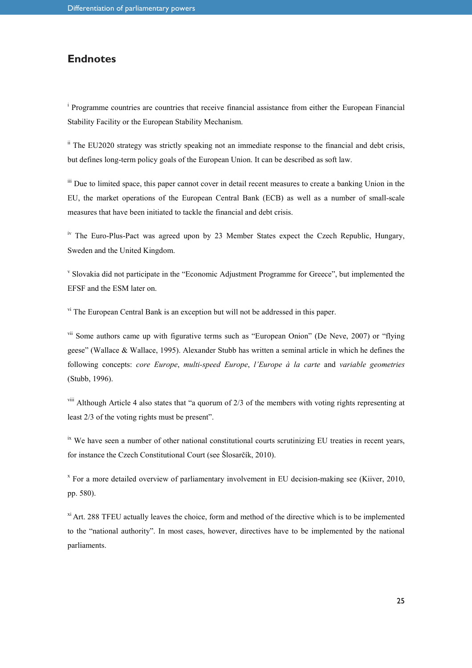#### **Endnotes**

<sup>i</sup> Programme countries are countries that receive financial assistance from either the European Financial Stability Facility or the European Stability Mechanism.

<sup>ii</sup> The EU2020 strategy was strictly speaking not an immediate response to the financial and debt crisis, but defines long-term policy goals of the European Union. It can be described as soft law.

<sup>iii</sup> Due to limited space, this paper cannot cover in detail recent measures to create a banking Union in the EU, the market operations of the European Central Bank (ECB) as well as a number of small-scale measures that have been initiated to tackle the financial and debt crisis.

 $\mu$ <sup>iv</sup> The Euro-Plus-Pact was agreed upon by 23 Member States expect the Czech Republic, Hungary, Sweden and the United Kingdom.

v Slovakia did not participate in the "Economic Adjustment Programme for Greece", but implemented the EFSF and the ESM later on.

vi The European Central Bank is an exception but will not be addressed in this paper.

<sup>vii</sup> Some authors came up with figurative terms such as "European Onion" (De Neve, 2007) or "flying geese" (Wallace & Wallace, 1995). Alexander Stubb has written a seminal article in which he defines the following concepts: *core Europe*, *multi-speed Europe*, *l'Europe à la carte* and *variable geometries*  (Stubb, 1996).

viii Although Article 4 also states that "a quorum of 2/3 of the members with voting rights representing at least 2/3 of the voting rights must be present".

 $\mu$ <sup>ix</sup> We have seen a number of other national constitutional courts scrutinizing EU treaties in recent years, for instance the Czech Constitutional Court (see Šlosarčík, 2010).

<sup>x</sup> For a more detailed overview of parliamentary involvement in EU decision-making see (Kiiver, 2010, pp. 580).

 $x_i$ <sup>xi</sup> Art. 288 TFEU actually leaves the choice, form and method of the directive which is to be implemented to the "national authority". In most cases, however, directives have to be implemented by the national parliaments.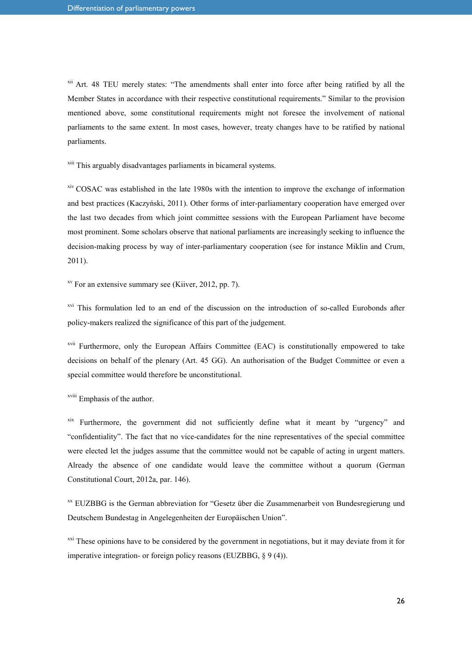<sup>xii</sup> Art. 48 TEU merely states: "The amendments shall enter into force after being ratified by all the Member States in accordance with their respective constitutional requirements." Similar to the provision mentioned above, some constitutional requirements might not foresee the involvement of national parliaments to the same extent. In most cases, however, treaty changes have to be ratified by national parliaments.

xiii This arguably disadvantages parliaments in bicameral systems.

<sup>xiv</sup> COSAC was established in the late 1980s with the intention to improve the exchange of information and best practices (Kaczyński, 2011). Other forms of inter-parliamentary cooperation have emerged over the last two decades from which joint committee sessions with the European Parliament have become most prominent. Some scholars observe that national parliaments are increasingly seeking to influence the decision-making process by way of inter-parliamentary cooperation (see for instance Miklin and Crum, 2011).

 $x<sup>xv</sup>$  For an extensive summary see (Kiiver, 2012, pp. 7).

<sup>xvi</sup> This formulation led to an end of the discussion on the introduction of so-called Eurobonds after policy-makers realized the significance of this part of the judgement.

<sup>xvii</sup> Furthermore, only the European Affairs Committee (EAC) is constitutionally empowered to take decisions on behalf of the plenary (Art. 45 GG). An authorisation of the Budget Committee or even a special committee would therefore be unconstitutional.

xviii Emphasis of the author.

xix Furthermore, the government did not sufficiently define what it meant by "urgency" and "confidentiality". The fact that no vice-candidates for the nine representatives of the special committee were elected let the judges assume that the committee would not be capable of acting in urgent matters. Already the absence of one candidate would leave the committee without a quorum (German Constitutional Court, 2012a, par. 146).

xx EUZBBG is the German abbreviation for "Gesetz über die Zusammenarbeit von Bundesregierung und Deutschem Bundestag in Angelegenheiten der Europäischen Union".

 $\frac{xxi}{x}$  These opinions have to be considered by the government in negotiations, but it may deviate from it for imperative integration- or foreign policy reasons (EUZBBG, § 9 (4)).